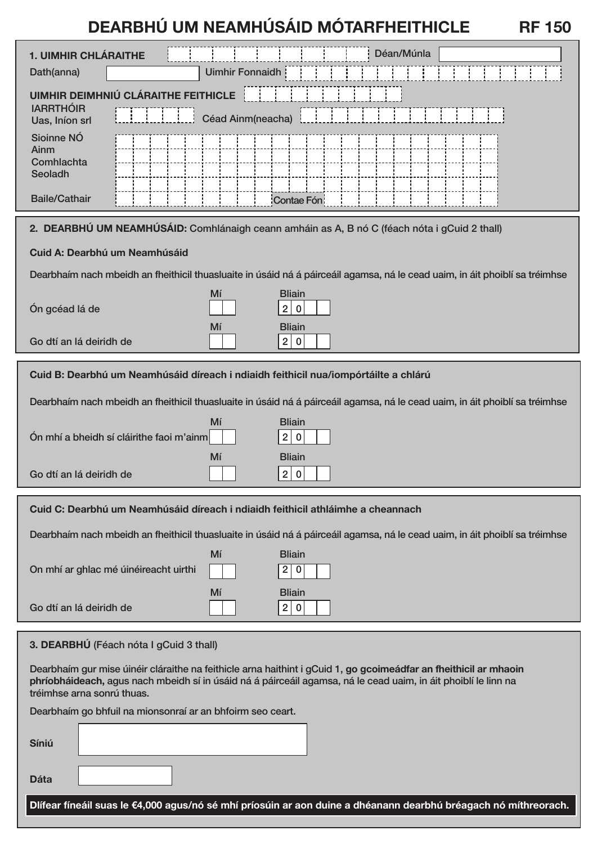# **DEARBHÚ UM NEAMHÚSÁID MÓTARFHEITHICLE RF 150**

| <b>1. UIMHIR CHLÁRAITHE</b>                                                                                                                                                                                                                                      |                        | Déan/Múnla                            |
|------------------------------------------------------------------------------------------------------------------------------------------------------------------------------------------------------------------------------------------------------------------|------------------------|---------------------------------------|
| Dath(anna)                                                                                                                                                                                                                                                       | <b>Uimhir Fonnaidh</b> |                                       |
| <b>UIMHIR DEIMHNIÚ CLÁRAITHE FEITHICLE</b><br><b>IARRTHÓIR</b><br>Céad Ainm(neacha)<br>Uas, Iníon srl                                                                                                                                                            |                        |                                       |
| Sioinne NÓ<br>Ainm<br>Comhlachta<br>Seoladh                                                                                                                                                                                                                      |                        |                                       |
| <b>Baile/Cathair</b>                                                                                                                                                                                                                                             |                        | Contae Fón                            |
| 2. DEARBHÚ UM NEAMHÚSÁID: Comhlánaigh ceann amháin as A, B nó C (féach nóta i gCuid 2 thall)                                                                                                                                                                     |                        |                                       |
| Cuid A: Dearbhú um Neamhúsáid                                                                                                                                                                                                                                    |                        |                                       |
| Dearbhaím nach mbeidh an fheithicil thuasluaite in úsáid ná á páirceáil agamsa, ná le cead uaim, in áit phoiblí sa tréimhse                                                                                                                                      |                        |                                       |
| Ón gcéad lá de                                                                                                                                                                                                                                                   | Mí                     | <b>Bliain</b><br>2 <br>$\bf{0}$       |
| Go dtí an lá deiridh de                                                                                                                                                                                                                                          | Mí                     | <b>Bliain</b><br>2 <br>$\mathbf 0$    |
| Cuid B: Dearbhú um Neamhúsáid díreach i ndiaidh feithicil nua/iompórtáilte a chlárú                                                                                                                                                                              |                        |                                       |
| Dearbhaím nach mbeidh an fheithicil thuasluaite in úsáid ná á páirceáil agamsa, ná le cead uaim, in áit phoiblí sa tréimhse                                                                                                                                      |                        |                                       |
| Ón mhí a bheidh sí cláirithe faoi m'ainm                                                                                                                                                                                                                         | Mí                     | <b>Bliain</b><br>2 <br>$\mathbf 0$    |
| Go dtí an lá deiridh de                                                                                                                                                                                                                                          | Mí                     | <b>Bliain</b><br>2 <br>$\bf{0}$       |
| Cuid C: Dearbhú um Neamhúsáid díreach i ndiaidh feithicil athláimhe a cheannach                                                                                                                                                                                  |                        |                                       |
| Dearbhaím nach mbeidh an fheithicil thuasluaite in úsáid ná á páirceáil agamsa, ná le cead uaim, in áit phoiblí sa tréimhse                                                                                                                                      |                        |                                       |
|                                                                                                                                                                                                                                                                  | Mí                     | <b>Bliain</b>                         |
| On mhí ar ghlac mé úinéireacht uirthi                                                                                                                                                                                                                            |                        | 2 <br>$\boldsymbol{0}$                |
| Go dtí an lá deiridh de                                                                                                                                                                                                                                          | Mí                     | <b>Bliain</b><br>$2 \mid$<br>$\bf{0}$ |
| 3. DEARBHÚ (Féach nóta I gCuid 3 thall)                                                                                                                                                                                                                          |                        |                                       |
| Dearbhaím gur mise úinéir cláraithe na feithicle arna haithint i gCuid 1, go gcoimeádfar an fheithicil ar mhaoin<br>phríobháideach, agus nach mbeidh sí in úsáid ná á páirceáil agamsa, ná le cead uaim, in áit phoiblí le linn na<br>tréimhse arna sonrú thuas. |                        |                                       |
| Dearbhaím go bhfuil na mionsonraí ar an bhfoirm seo ceart.                                                                                                                                                                                                       |                        |                                       |
| Síniú                                                                                                                                                                                                                                                            |                        |                                       |
| <b>Dáta</b>                                                                                                                                                                                                                                                      |                        |                                       |
| Dlífear fíneáil suas le €4,000 agus/nó sé mhí príosúin ar aon duine a dhéanann dearbhú bréagach nó míthreorach.                                                                                                                                                  |                        |                                       |